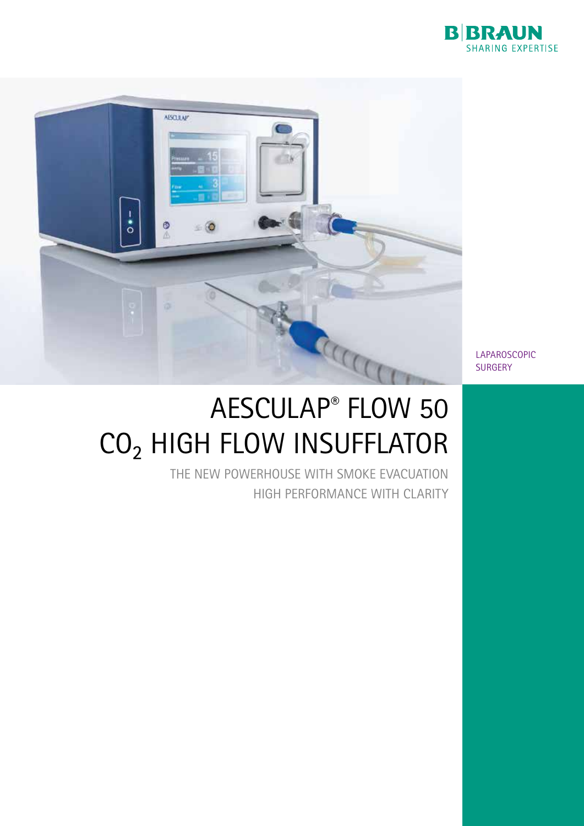



LAPAROSCOPIC **SURGERY** 

# AESCULAP® FLOW 50 CO₂ HIGH FLOW INSUFFLATOR

THE NEW POWERHOUSE WITH SMOKE EVACUATION HIGH PERFORMANCE WITH CLARITY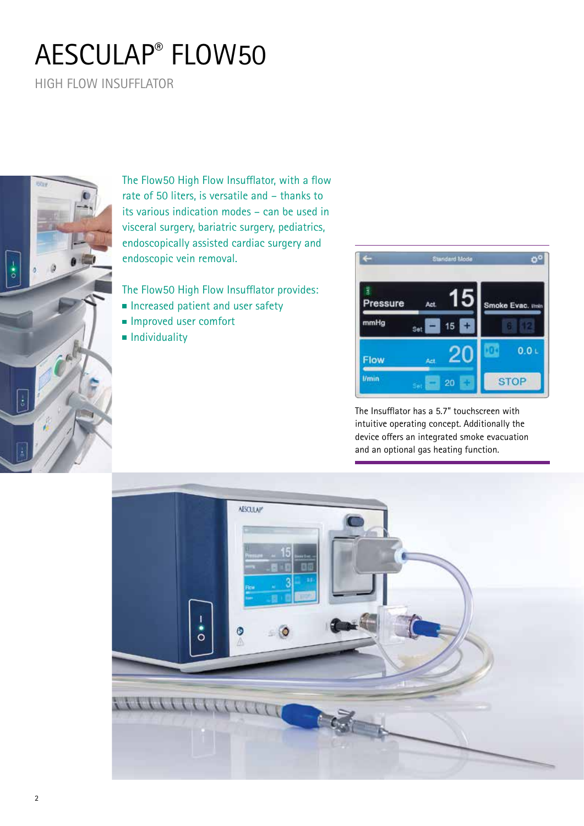# AESCULAP® FLOW50

HIGH FLOW INSUFFLATOR



The Flow50 High Flow Insufflator, with a flow rate of 50 liters, is versatile and – thanks to its various indication modes – can be used in visceral surgery, bariatric surgery, pediatrics, endoscopically assisted cardiac surgery and endoscopic vein removal.

The Flow50 High Flow Insufflator provides:

- Increased patient and user safety
- Improved user comfort
- **Individuality**



The Insufflator has a 5.7" touchscreen with intuitive operating concept. Additionally the device offers an integrated smoke evacuation and an optional gas heating function.

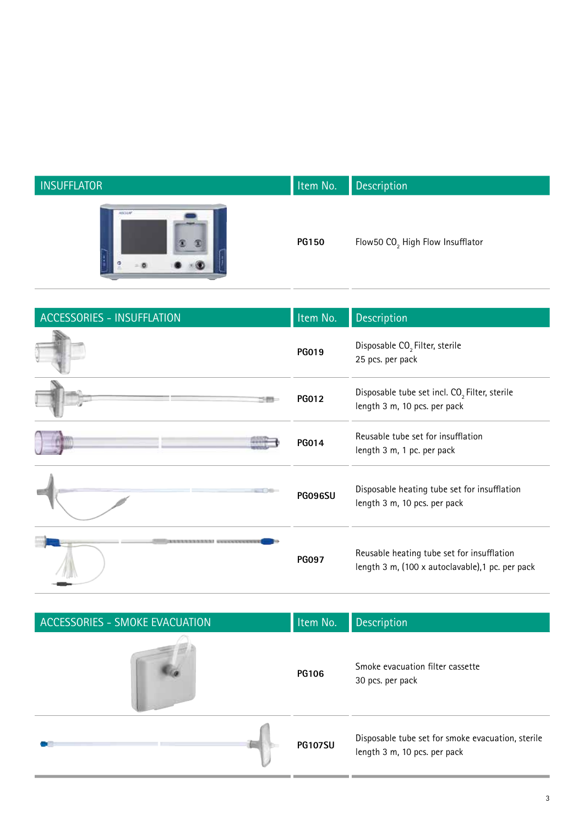| <b>INSUFFLATOR</b> | Item No.     | Description                                  |
|--------------------|--------------|----------------------------------------------|
| <b>HISCLIP</b>     | <b>PG150</b> | Flow50 CO <sub>2</sub> High Flow Insufflator |

 $\overline{a}$ 

| <b>ACCESSORIES - INSUFFLATION</b> | Item No.       | Description                                                                                    |
|-----------------------------------|----------------|------------------------------------------------------------------------------------------------|
|                                   | PG019          | Disposable CO <sub>2</sub> Filter, sterile<br>25 pcs. per pack                                 |
|                                   | <b>PG012</b>   | Disposable tube set incl. CO <sub>2</sub> Filter, sterile<br>length 3 m, 10 pcs. per pack      |
|                                   | PG014          | Reusable tube set for insufflation<br>length 3 m, 1 pc. per pack                               |
|                                   | <b>PGO96SU</b> | Disposable heating tube set for insufflation<br>length 3 m, 10 pcs. per pack                   |
|                                   | <b>PG097</b>   | Reusable heating tube set for insufflation<br>length 3 m, (100 x autoclavable), 1 pc. per pack |

| ACCESSORIES - SMOKE EVACUATION | Item No.       | <b>Description</b>                                                                |
|--------------------------------|----------------|-----------------------------------------------------------------------------------|
|                                | <b>PG106</b>   | Smoke evacuation filter cassette<br>30 pcs. per pack                              |
|                                | <b>PG107SU</b> | Disposable tube set for smoke evacuation, sterile<br>length 3 m, 10 pcs. per pack |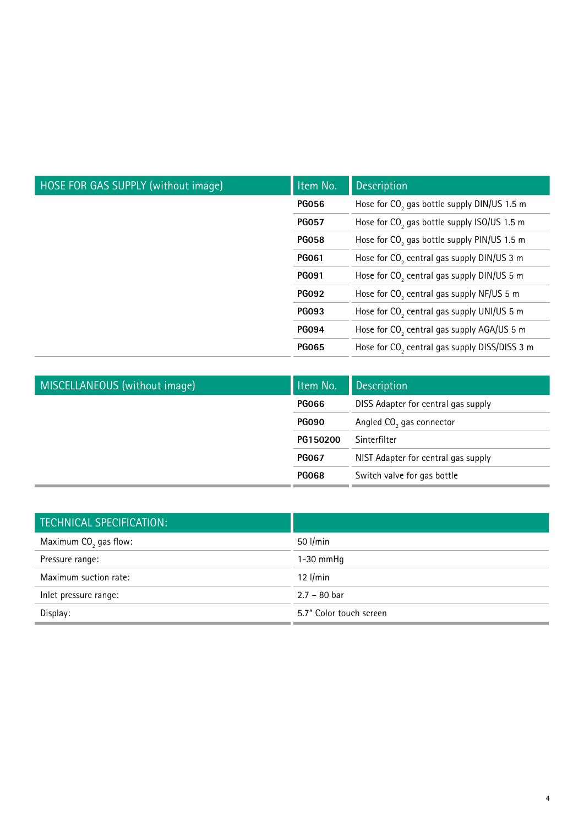| HOSE FOR GAS SUPPLY (without image) | Item No.     | <b>Description</b>                                        |
|-------------------------------------|--------------|-----------------------------------------------------------|
|                                     | <b>PG056</b> | Hose for CO <sub>2</sub> gas bottle supply DIN/US 1.5 m   |
|                                     | <b>PG057</b> | Hose for CO <sub>2</sub> gas bottle supply ISO/US 1.5 m   |
|                                     | <b>PG058</b> | Hose for CO <sub>2</sub> gas bottle supply PIN/US 1.5 m   |
|                                     | <b>PG061</b> | Hose for CO <sub>2</sub> central gas supply DIN/US 3 m    |
|                                     | <b>PG091</b> | Hose for CO <sub>2</sub> central gas supply DIN/US 5 m    |
|                                     | <b>PG092</b> | Hose for $CO2$ central gas supply NF/US 5 m               |
|                                     | <b>PG093</b> | Hose for CO <sub>2</sub> central gas supply UNI/US 5 m    |
|                                     | <b>PG094</b> | Hose for CO <sub>2</sub> central gas supply AGA/US 5 m    |
|                                     | <b>PG065</b> | Hose for CO <sub>2</sub> central gas supply DISS/DISS 3 m |

| MISCELLANEOUS (without image) | Item No.     | <b>Description</b>                   |
|-------------------------------|--------------|--------------------------------------|
|                               | <b>PG066</b> | DISS Adapter for central gas supply  |
|                               | <b>PG090</b> | Angled CO <sub>2</sub> gas connector |
|                               | PG150200     | Sinterfilter                         |
|                               | <b>PG067</b> | NIST Adapter for central gas supply  |
|                               | <b>PG068</b> | Switch valve for gas bottle          |

| <b>TECHNICAL SPECIFICATION:</b>   |                         |
|-----------------------------------|-------------------------|
| Maximum CO <sub>2</sub> gas flow: | 50 l/min                |
| Pressure range:                   | $1-30$ mmHq             |
| Maximum suction rate:             | $12$ l/min              |
| Inlet pressure range:             | $2.7 - 80$ bar          |
| Display:                          | 5.7" Color touch screen |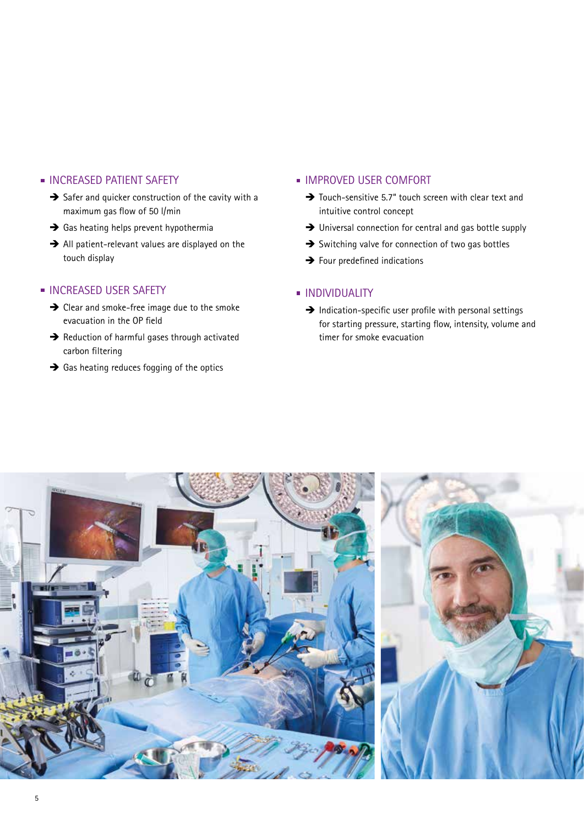### **INCREASED PATIENT SAFETY**

- $\rightarrow$  Safer and quicker construction of the cavity with a maximum gas flow of 50 l/min
- $\rightarrow$  Gas heating helps prevent hypothermia
- $\rightarrow$  All patient-relevant values are displayed on the touch display

### **INCREASED USER SAFETY**

- $\rightarrow$  Clear and smoke-free image due to the smoke evacuation in the OP field
- $\rightarrow$  Reduction of harmful gases through activated carbon filtering
- $\rightarrow$  Gas heating reduces fogging of the optics

#### **IMPROVED USER COMFORT**

- $\rightarrow$  Touch-sensitive 5.7" touch screen with clear text and intuitive control concept
- $\rightarrow$  Universal connection for central and gas bottle supply
- $\rightarrow$  Switching valve for connection of two gas bottles
- $\rightarrow$  Four predefined indications

#### **INDIVIDUALITY**

 $\rightarrow$  Indication-specific user profile with personal settings for starting pressure, starting flow, intensity, volume and timer for smoke evacuation